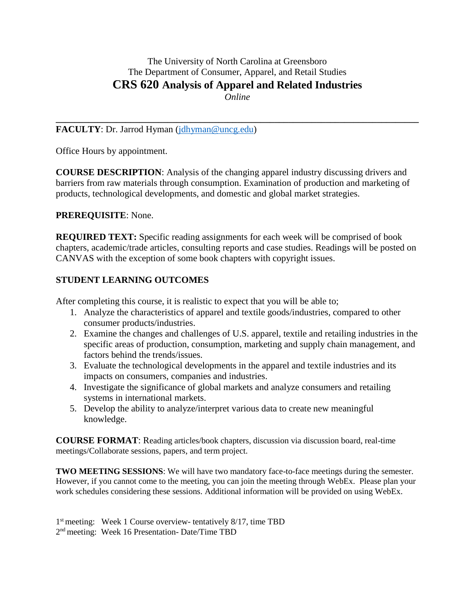# The University of North Carolina at Greensboro The Department of Consumer, Apparel, and Retail Studies **CRS 620 Analysis of Apparel and Related Industries** *Online*

**\_\_\_\_\_\_\_\_\_\_\_\_\_\_\_\_\_\_\_\_\_\_\_\_\_\_\_\_\_\_\_\_\_\_\_\_\_\_\_\_\_\_\_\_\_\_\_\_\_\_\_\_\_\_\_\_\_\_\_\_\_\_\_\_\_\_\_\_\_\_\_\_\_\_\_\_\_\_** 

# **FACULTY**: Dr. Jarrod Hyman [\(jdhyman@uncg.edu\)](mailto:jdhyman@uncg.edu)

Office Hours by appointment.

**COURSE DESCRIPTION**: Analysis of the changing apparel industry discussing drivers and barriers from raw materials through consumption. Examination of production and marketing of products, technological developments, and domestic and global market strategies.

### **PREREQUISITE**: None.

**REQUIRED TEXT:** Specific reading assignments for each week will be comprised of book chapters, academic/trade articles, consulting reports and case studies. Readings will be posted on CANVAS with the exception of some book chapters with copyright issues.

# **STUDENT LEARNING OUTCOMES**

After completing this course, it is realistic to expect that you will be able to;

- 1. Analyze the characteristics of apparel and textile goods/industries, compared to other consumer products/industries.
- 2. Examine the changes and challenges of U.S. apparel, textile and retailing industries in the specific areas of production, consumption, marketing and supply chain management, and factors behind the trends/issues.
- 3. Evaluate the technological developments in the apparel and textile industries and its impacts on consumers, companies and industries.
- 4. Investigate the significance of global markets and analyze consumers and retailing systems in international markets.
- 5. Develop the ability to analyze/interpret various data to create new meaningful knowledge.

**COURSE FORMAT**: Reading articles/book chapters, discussion via discussion board, real-time meetings/Collaborate sessions, papers, and term project.

**TWO MEETING SESSIONS**: We will have two mandatory face-to-face meetings during the semester. However, if you cannot come to the meeting, you can join the meeting through WebEx. Please plan your work schedules considering these sessions. Additional information will be provided on using WebEx.

1<sup>st</sup> meeting: Week 1 Course overview- tentatively 8/17, time TBD 2<sup>nd</sup> meeting: Week 16 Presentation- Date/Time TBD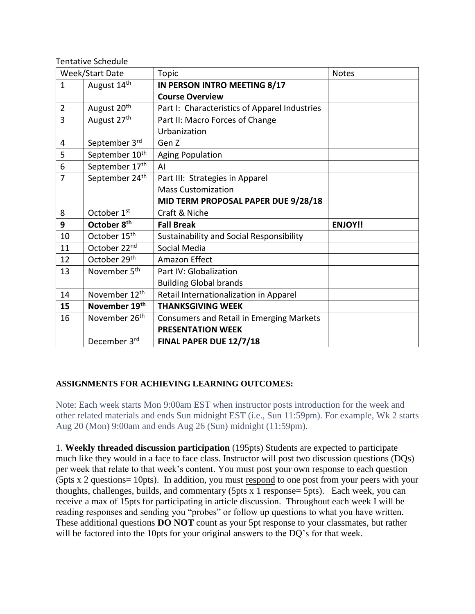Tentative Schedule

| Week/Start Date |                            | Topic                                         | <b>Notes</b>   |
|-----------------|----------------------------|-----------------------------------------------|----------------|
| $\mathbf{1}$    | August 14th                | IN PERSON INTRO MEETING 8/17                  |                |
|                 |                            | <b>Course Overview</b>                        |                |
| $\overline{2}$  | August 20 <sup>th</sup>    | Part I: Characteristics of Apparel Industries |                |
| $\overline{3}$  | August 27th                | Part II: Macro Forces of Change               |                |
|                 |                            | Urbanization                                  |                |
| 4               | September 3rd              | Gen Z                                         |                |
| 5               | September 10 <sup>th</sup> | <b>Aging Population</b>                       |                |
| 6               | September 17th             | AI                                            |                |
| $\overline{7}$  | September 24 <sup>th</sup> | Part III: Strategies in Apparel               |                |
|                 |                            | <b>Mass Customization</b>                     |                |
|                 |                            | MID TERM PROPOSAL PAPER DUE 9/28/18           |                |
| 8               | October 1st                | Craft & Niche                                 |                |
|                 |                            |                                               |                |
| 9               | October 8 <sup>th</sup>    | <b>Fall Break</b>                             | <b>ENJOY!!</b> |
| 10              | October 15 <sup>th</sup>   | Sustainability and Social Responsibility      |                |
| 11              | October 22nd               | Social Media                                  |                |
| 12              | October 29th               | Amazon Effect                                 |                |
| 13              | November 5 <sup>th</sup>   | Part IV: Globalization                        |                |
|                 |                            | <b>Building Global brands</b>                 |                |
| 14              | November 12 <sup>th</sup>  | Retail Internationalization in Apparel        |                |
| 15              | November 19th              | <b>THANKSGIVING WEEK</b>                      |                |
| 16              | November 26 <sup>th</sup>  | Consumers and Retail in Emerging Markets      |                |
|                 |                            | <b>PRESENTATION WEEK</b>                      |                |

# **ASSIGNMENTS FOR ACHIEVING LEARNING OUTCOMES:**

Note: Each week starts Mon 9:00am EST when instructor posts introduction for the week and other related materials and ends Sun midnight EST (i.e., Sun 11:59pm). For example, Wk 2 starts Aug 20 (Mon) 9:00am and ends Aug 26 (Sun) midnight (11:59pm).

1. **Weekly threaded discussion participation** (195pts) Students are expected to participate much like they would in a face to face class. Instructor will post two discussion questions (DQs) per week that relate to that week's content. You must post your own response to each question (5pts x 2 questions= 10pts). In addition, you must respond to one post from your peers with your thoughts, challenges, builds, and commentary (5pts x 1 response= 5pts). Each week, you can receive a max of 15pts for participating in article discussion. Throughout each week I will be reading responses and sending you "probes" or follow up questions to what you have written. These additional questions **DO NOT** count as your 5pt response to your classmates, but rather will be factored into the 10pts for your original answers to the DQ's for that week.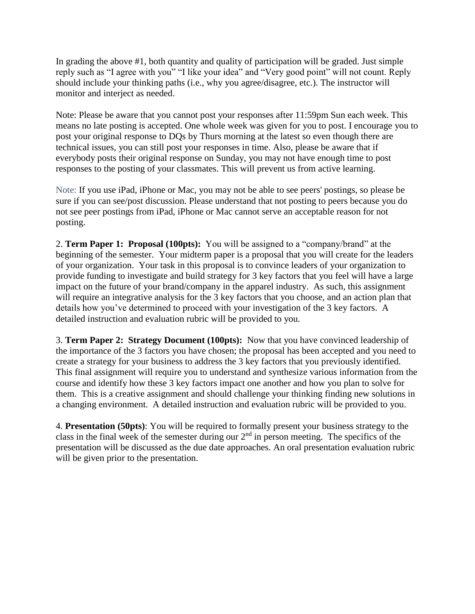In grading the above #1, both quantity and quality of participation will be graded. Just simple reply such as "I agree with you" "I like your idea" and "Very good point" will not count. Reply should include your thinking paths (i.e., why you agree/disagree, etc.). The instructor will monitor and interject as needed.

Note: Please be aware that you cannot post your responses after 11:59pm Sun each week. This means no late posting is accepted. One whole week was given for you to post. I encourage you to post your original response to DQs by Thurs morning at the latest so even though there are technical issues, you can still post your responses in time. Also, please be aware that if everybody posts their original response on Sunday, you may not have enough time to post responses to the posting of your classmates. This will prevent us from active learning.

Note: If you use iPad, iPhone or Mac, you may not be able to see peers' postings, so please be sure if you can see/post discussion. Please understand that not posting to peers because you do not see peer postings from iPad, iPhone or Mac cannot serve an acceptable reason for not posting.

2. **Term Paper 1: Proposal (100pts):** You will be assigned to a "company/brand" at the beginning of the semester. Your midterm paper is a proposal that you will create for the leaders of your organization. Your task in this proposal is to convince leaders of your organization to provide funding to investigate and build strategy for 3 key factors that you feel will have a large impact on the future of your brand/company in the apparel industry. As such, this assignment will require an integrative analysis for the 3 key factors that you choose, and an action plan that details how you've determined to proceed with your investigation of the 3 key factors. A detailed instruction and evaluation rubric will be provided to you.

3. **Term Paper 2: Strategy Document (100pts):** Now that you have convinced leadership of the importance of the 3 factors you have chosen; the proposal has been accepted and you need to create a strategy for your business to address the 3 key factors that you previously identified. This final assignment will require you to understand and synthesize various information from the course and identify how these 3 key factors impact one another and how you plan to solve for them. This is a creative assignment and should challenge your thinking finding new solutions in a changing environment. A detailed instruction and evaluation rubric will be provided to you.

4. **Presentation (50pts)**: You will be required to formally present your business strategy to the class in the final week of the semester during our  $2<sup>nd</sup>$  in person meeting. The specifics of the presentation will be discussed as the due date approaches. An oral presentation evaluation rubric will be given prior to the presentation.